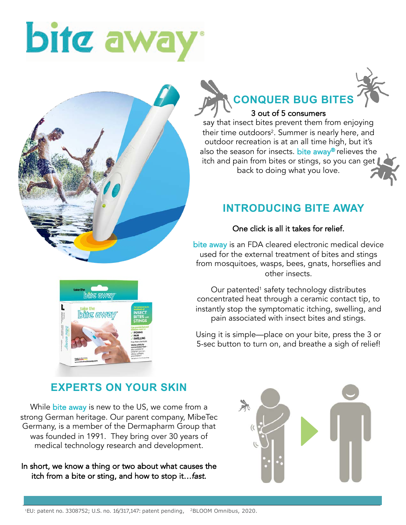# bitc aw



#### **CONQUER BUG BITES** 3 out of 5 consumers

say that insect bites prevent them from enjoying their time outdoors<sup>2</sup>. Summer is nearly here, and outdoor recreation is at an all time high, but it's also the season for insects. bite away® relieves the itch and pain from bites or stings, so you can get back to doing what you love.

#### **INTRODUCING BITE AWAY**

#### One click is all it takes for relief.

bite away is an FDA cleared electronic medical device used for the external treatment of bites and stings from mosquitoes, wasps, bees, gnats, horseflies and other insects.

Our patented<sup>1</sup> safety technology distributes concentrated heat through a ceramic contact tip, to instantly stop the symptomatic itching, swelling, and pain associated with insect bites and stings.

Using it is simple—place on your bite, press the 3 or 5-sec button to turn on, and breathe a sigh of relief!

### **EXPERTS ON YOUR SKIN**

While bite away is new to the US, we come from a strong German heritage. Our parent company, MibeTec Germany, is a member of the Dermapharm Group that was founded in 1991. They bring over 30 years of medical technology research and development.

In short, we know a thing or two about what causes the itch from a bite or sting, and how to stop it…*fast*.